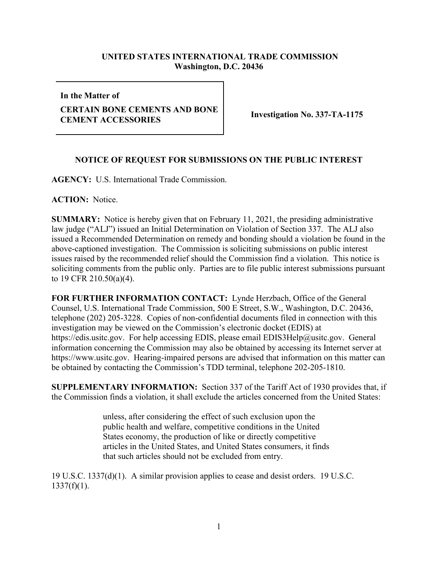## **UNITED STATES INTERNATIONAL TRADE COMMISSION Washington, D.C. 20436**

**In the Matter of**

## **CERTAIN BONE CEMENTS AND BONE CENTAIN BONE CEMENTS AND BONE** Investigation No. 337-TA-1175

## **NOTICE OF REQUEST FOR SUBMISSIONS ON THE PUBLIC INTEREST**

**AGENCY:** U.S. International Trade Commission.

**ACTION:** Notice.

**SUMMARY:** Notice is hereby given that on February 11, 2021, the presiding administrative law judge ("ALJ") issued an Initial Determination on Violation of Section 337. The ALJ also issued a Recommended Determination on remedy and bonding should a violation be found in the above-captioned investigation. The Commission is soliciting submissions on public interest issues raised by the recommended relief should the Commission find a violation. This notice is soliciting comments from the public only. Parties are to file public interest submissions pursuant to 19 CFR 210.50(a)(4).

**FOR FURTHER INFORMATION CONTACT:** Lynde Herzbach, Office of the General Counsel, U.S. International Trade Commission, 500 E Street, S.W., Washington, D.C. 20436, telephone (202) 205-3228. Copies of non-confidential documents filed in connection with this investigation may be viewed on the Commission's electronic docket (EDIS) at https://edis.usitc.gov. For help accessing EDIS, please email EDIS3Help@usitc.gov. General information concerning the Commission may also be obtained by accessing its Internet server at https://www.usitc.gov. Hearing-impaired persons are advised that information on this matter can be obtained by contacting the Commission's TDD terminal, telephone 202-205-1810.

**SUPPLEMENTARY INFORMATION:** Section 337 of the Tariff Act of 1930 provides that, if the Commission finds a violation, it shall exclude the articles concerned from the United States:

> unless, after considering the effect of such exclusion upon the public health and welfare, competitive conditions in the United States economy, the production of like or directly competitive articles in the United States, and United States consumers, it finds that such articles should not be excluded from entry.

19 U.S.C. 1337(d)(1). A similar provision applies to cease and desist orders. 19 U.S.C.  $1337(f)(1)$ .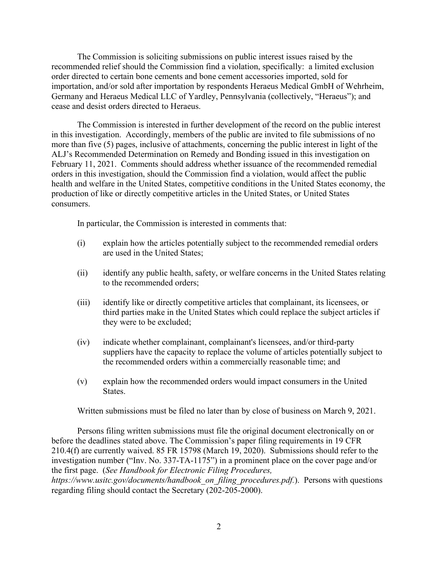The Commission is soliciting submissions on public interest issues raised by the recommended relief should the Commission find a violation, specifically: a limited exclusion order directed to certain bone cements and bone cement accessories imported, sold for importation, and/or sold after importation by respondents Heraeus Medical GmbH of Wehrheim, Germany and Heraeus Medical LLC of Yardley, Pennsylvania (collectively, "Heraeus"); and cease and desist orders directed to Heraeus.

The Commission is interested in further development of the record on the public interest in this investigation. Accordingly, members of the public are invited to file submissions of no more than five (5) pages, inclusive of attachments, concerning the public interest in light of the ALJ's Recommended Determination on Remedy and Bonding issued in this investigation on February 11, 2021. Comments should address whether issuance of the recommended remedial orders in this investigation, should the Commission find a violation, would affect the public health and welfare in the United States, competitive conditions in the United States economy, the production of like or directly competitive articles in the United States, or United States consumers.

In particular, the Commission is interested in comments that:

- (i) explain how the articles potentially subject to the recommended remedial orders are used in the United States;
- (ii) identify any public health, safety, or welfare concerns in the United States relating to the recommended orders;
- (iii) identify like or directly competitive articles that complainant, its licensees, or third parties make in the United States which could replace the subject articles if they were to be excluded;
- (iv) indicate whether complainant, complainant's licensees, and/or third-party suppliers have the capacity to replace the volume of articles potentially subject to the recommended orders within a commercially reasonable time; and
- (v) explain how the recommended orders would impact consumers in the United States.

Written submissions must be filed no later than by close of business on March 9, 2021.

Persons filing written submissions must file the original document electronically on or before the deadlines stated above. The Commission's paper filing requirements in 19 CFR 210.4(f) are currently waived. 85 FR 15798 (March 19, 2020). Submissions should refer to the investigation number ("Inv. No. 337-TA-1175") in a prominent place on the cover page and/or the first page. (*See Handbook for Electronic Filing Procedures,* 

*https://www.usitc.gov/documents/handbook\_on\_filing\_procedures.pdf.*). Persons with questions regarding filing should contact the Secretary (202-205-2000).